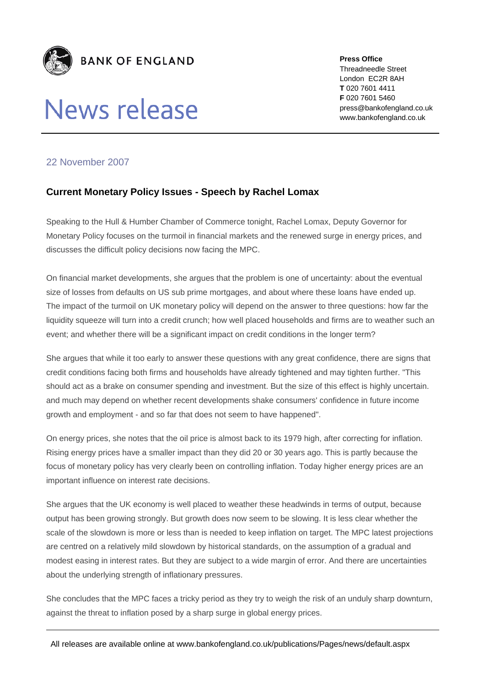

## **News release**

**Press Office**  Threadneedle Street London EC2R 8AH **T** 020 7601 4411 **F** 020 7601 5460 press@bankofengland.co.uk www.bankofengland.co.uk

## 22 November 2007

## **Current Monetary Policy Issues - Speech by Rachel Lomax**

Speaking to the Hull & Humber Chamber of Commerce tonight, Rachel Lomax, Deputy Governor for Monetary Policy focuses on the turmoil in financial markets and the renewed surge in energy prices, and discusses the difficult policy decisions now facing the MPC.

On financial market developments, she argues that the problem is one of uncertainty: about the eventual size of losses from defaults on US sub prime mortgages, and about where these loans have ended up. The impact of the turmoil on UK monetary policy will depend on the answer to three questions: how far the liquidity squeeze will turn into a credit crunch; how well placed households and firms are to weather such an event; and whether there will be a significant impact on credit conditions in the longer term?

She argues that while it too early to answer these questions with any great confidence, there are signs that credit conditions facing both firms and households have already tightened and may tighten further. "This should act as a brake on consumer spending and investment. But the size of this effect is highly uncertain. and much may depend on whether recent developments shake consumers' confidence in future income growth and employment - and so far that does not seem to have happened".

On energy prices, she notes that the oil price is almost back to its 1979 high, after correcting for inflation. Rising energy prices have a smaller impact than they did 20 or 30 years ago. This is partly because the focus of monetary policy has very clearly been on controlling inflation. Today higher energy prices are an important influence on interest rate decisions.

She argues that the UK economy is well placed to weather these headwinds in terms of output, because output has been growing strongly. But growth does now seem to be slowing. It is less clear whether the scale of the slowdown is more or less than is needed to keep inflation on target. The MPC latest projections are centred on a relatively mild slowdown by historical standards, on the assumption of a gradual and modest easing in interest rates. But they are subject to a wide margin of error. And there are uncertainties about the underlying strength of inflationary pressures.

She concludes that the MPC faces a tricky period as they try to weigh the risk of an unduly sharp downturn, against the threat to inflation posed by a sharp surge in global energy prices.